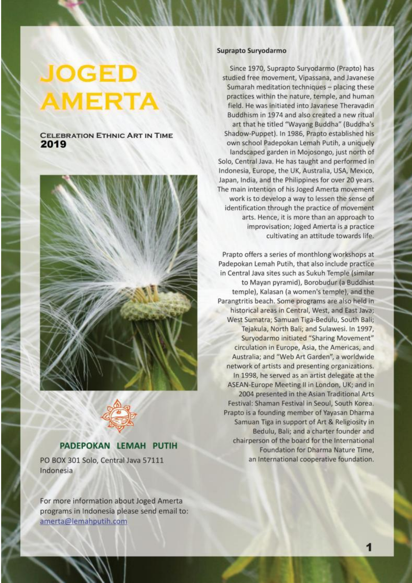# **JOGED AMERTA**

# **CELEBRATION ETHNIC ART IN TIME** 2019





# PADEPOKAN LEMAH PUTIH

PO BOX 301 Solo, Central Java 57111 Indonesia

For more information about Joged Amerta programs in Indonesia please send email to: amerta@lemahputih.com

#### Suprapto Survodarmo

Since 1970, Suprapto Survodarmo (Prapto) has studied free movement, Vipassana, and Javanese Sumarah meditation techniques - placing these practices within the nature, temple, and human field. He was initiated into Javanese Theravadin Buddhism in 1974 and also created a new ritual art that he titled "Wayang Buddha" (Buddha's Shadow-Puppet). In 1986, Prapto established his own school Padepokan Lemah Putih, a uniquely landscaped garden in Mojosongo, just north of Solo, Central Java. He has taught and performed in Indonesia, Europe, the UK, Australia, USA, Mexico, Japan, India, and the Philippines for over 20 years. The main intention of his Joged Amerta movement work is to develop a way to lessen the sense of identification through the practice of movement arts. Hence, it is more than an approach to improvisation; Joged Amerta is a practice cultivating an attitude towards life.

Prapto offers a series of monthlong workshops at Padepokan Lemah Putih, that also include practice in Central Java sites such as Sukuh Temple (similar to Mayan pyramid), Borobudur (a Buddhist temple), Kalasan (a women's temple), and the Parangtritis beach. Some programs are also held in historical areas in Central, West, and East Java; West Sumatra; Samuan Tiga-Bedulu, South Bali; Tejakula, North Bali; and Sulawesi. In 1997, Survodarmo initiated "Sharing Movement" circulation in Europe, Asia, the Americas, and Australia; and "Web Art Garden", a worldwide network of artists and presenting organizations. In 1998, he served as an artist delegate at the ASEAN-Europe Meeting II in London, UK; and in 2004 presented in the Asian Traditional Arts Festival: Shaman Festival in Seoul, South Korea. Prapto is a founding member of Yayasan Dharma Samuan Tiga in support of Art & Religiosity in Bedulu, Bali; and a charter founder and chairperson of the board for the International Foundation for Dharma Nature Time, an International cooperative foundation.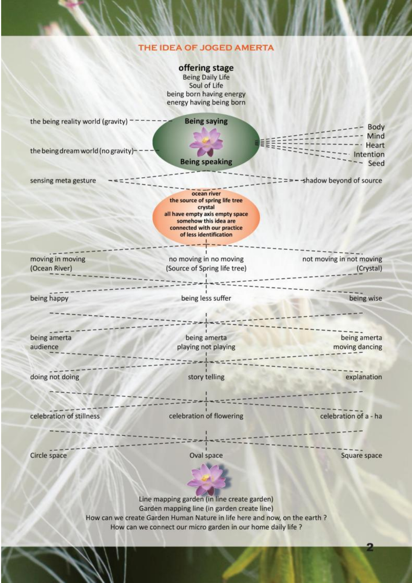# THE IDEA OF JOGED AMERTA

|                                     | offering stage<br><b>Being Daily Life</b><br>Soul of Life<br>being born having energy<br>energy having being born                                                             |                          |
|-------------------------------------|-------------------------------------------------------------------------------------------------------------------------------------------------------------------------------|--------------------------|
| the being reality world (gravity)   | <b>Being saying</b>                                                                                                                                                           | <b>Body</b><br>Mind      |
| the being dream world (no gravity)- | <b>Being speaking</b>                                                                                                                                                         | Heart<br>tention<br>Seed |
| sensing meta gesture                |                                                                                                                                                                               | shadow beyond of source  |
|                                     | ocean river<br>the source of spring life tree<br>crystal<br>all have empty axis empty space<br>somehow this idea are<br>connected with our practice<br>of less identification |                          |
| moving in moving                    | no moving in no moving                                                                                                                                                        | not moving in not moving |
| (Ocean River)                       | (Source of Spring life tree)                                                                                                                                                  | (Crystal)                |
|                                     |                                                                                                                                                                               |                          |
| being happy                         | being less suffer                                                                                                                                                             | being wise               |
|                                     |                                                                                                                                                                               |                          |
| being amerta                        | being amerta                                                                                                                                                                  | being amerta             |
| audience                            | playing not playing                                                                                                                                                           | moving dancing           |
|                                     |                                                                                                                                                                               |                          |
| doing not doing                     | story telling                                                                                                                                                                 | explanation              |
| celebration of stillness            | celebration of flowering                                                                                                                                                      | celebration of a - ha    |
| Circle space                        | Oval space                                                                                                                                                                    | Square space             |
|                                     |                                                                                                                                                                               |                          |
|                                     |                                                                                                                                                                               |                          |
|                                     | Line mapping garden (in line create garden)<br>Garden mapping line (in garden create line)                                                                                    |                          |
|                                     | How can we create Garden Human Nature in life here and now, on the earth ?                                                                                                    |                          |
|                                     | How can we connect our micro garden in our home daily life ?                                                                                                                  |                          |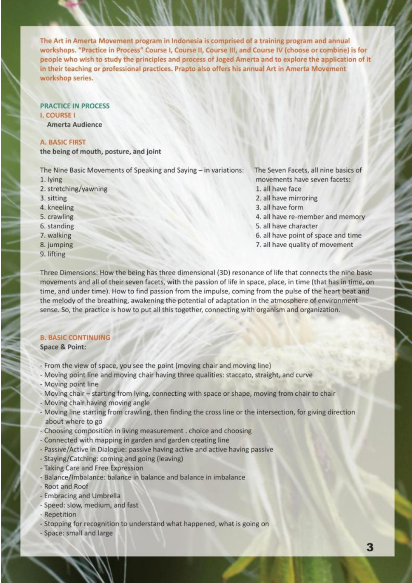The Art in Amerta Movement program in Indonesia is comprised of a training program and annual workshops. "Practice in Process" Course I. Course II. Course III. and Course IV (choose or combine) is for people who wish to study the principles and process of Joged Amerta and to explore the application of it in their teaching or professional practices. Prapto also offers his annual Art in Amerta Movement workshop series.

#### **PRACTICE IN PROCESS I. COURSE I**

**Amerta Audience** 

#### **A. BASIC FIRST**

the being of mouth, posture, and joint

The Nine Basic Movements of Speaking and Saying - in variations:

- 1. lying
- 2. stretching/yawning
- 3. sitting
- 4. kneeling
- 5. crawling
- 6. standing
- 7. walking
- 8. jumping
- 9. lifting

The Seven Facets, all nine basics of movements have seven facets:

- 1. all have face
- 2. all have mirroring
- 3. all have form
- 4. all have re-member and memory
- 5. all have character
- 6. all have point of space and time
- 7. all have quality of movement

Three Dimensions: How the being has three dimensional (3D) resonance of life that connects the nine basic movements and all of their seven facets, with the passion of life in space, place, in time (that has in time, on time, and under time). How to find passion from the impulse, coming from the pulse of the heart beat and the melody of the breathing, awakening the potential of adaptation in the atmosphere of environment sense. So, the practice is how to put all this together, connecting with organism and organization.

#### **B. BASIC CONTINUING**

Space & Point:

- From the view of space, you see the point (moving chair and moving line)
- Moving point line and moving chair having three qualities: staccato, straight, and curve
- Moving point line
- Moving chair starting from lying, connecting with space or shape, moving from chair to chair
- Moving chair having moving angle
- Moving line starting from crawling, then finding the cross line or the intersection, for giving direction about where to go
- Choosing composition in living measurement, choice and choosing
- Connected with mapping in garden and garden creating line
- Passive/Active in Dialogue: passive having active and active having passive
- Staying/Catching: coming and going (leaving)
- Taking Care and Free Expression
- Balance/Imbalance: balance in balance and balance in imbalance
- Root and Roof
- Embracing and Umbrella
- Speed: slow, medium, and fast
- Repetition
- Stopping for recognition to understand what happened, what is going on
- Space: small and large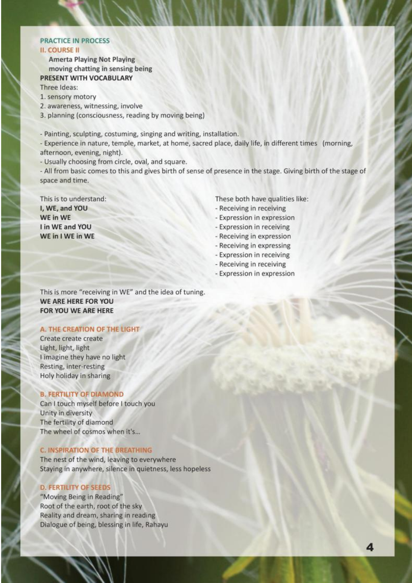#### **PRACTICE IN PROCESS II. COURSE II**

**Amerta Playing Not Playing** moving chatting in sensing being PRESENT WITH VOCABULARY

Three Ideas:

- 1. sensory motory
- 2. awareness, witnessing, involve
- 3. planning (consciousness, reading by moving being)

- Painting, sculpting, costuming, singing and writing, installation.

- Experience in nature, temple, market, at home, sacred place, daily life, in different times (morning, afternoon, evening, night).
- Usually choosing from circle, oval, and square.
- All from basic comes to this and gives birth of sense of presence in the stage. Giving birth of the stage of space and time.

This is to understand: I, WE, and YOU WE in WE I in WE and YOU WE in I WE in WE

These both have qualities like:

- Receiving in receiving
- Expression in expression
- Expression in receiving
- Receiving in expression
- Receiving in expressing
- Expression in receiving
- Receiving in receiving
- Expression in expression

This is more "receiving in WE" and the idea of tuning. WE ARE HERE FOR YOU FOR YOU WE ARE HERE

# A. THE CREATION OF THE LIGHT

Create create create Light, light, light I imagine they have no light Resting, inter-resting Holy holiday in sharing

#### **B. FERTILITY OF DIAMOND**

Can I touch myself before I touch you Unity in diversity The fertility of diamond The wheel of cosmos when it's...

#### **C. INSPIRATION OF THE BREATHING**

The nest of the wind, leaving to everywhere Staying in anywhere, silence in quietness, less hopeless

#### **D. FERTILITY OF SEEDS**

"Moving Being in Reading" Root of the earth, root of the sky Reality and dream, sharing in reading Dialogue of being, blessing in life, Rahayu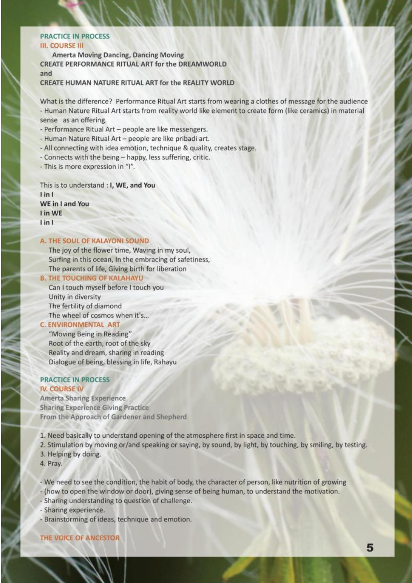#### **PRACTICE IN PROCESS**

#### **III. COURSE III**

**Amerta Moving Dancing, Dancing Moving CREATE PERFORMANCE RITUAL ART for the DREAMWORLD** and CREATE HUMAN NATURE RITUAL ART for the REALITY WORLD

What is the difference? Performance Ritual Art starts from wearing a clothes of message for the audience - Human Nature Ritual Art starts from reality world like element to create form (like ceramics) in material sense as an offering.

- Performance Ritual Art people are like messengers.
- Human Nature Ritual Art people are like pribadi art.
- All connecting with idea emotion, technique & quality, creates stage.
- Connects with the being happy, less suffering, critic.
- This is more expression in "I".

This is to understand : I, WE, and You  $lin<sub>1</sub>$ WE in I and You I in WE  $lin1$ 

#### A. THE SOUL OF KALAYONI SOUND

The joy of the flower time, Waving in my soul, Surfing in this ocean, In the embracing of safetiness, The parents of life, Giving birth for liberation

**B. THE TOUCHING OF KALAHAYU** Can I touch myself before I touch you Unity in diversity The fertility of diamond The wheel of cosmos when it's...

#### **C. ENVIRONMENTAL ART**

"Moving Being in Reading" Root of the earth, root of the sky Reality and dream, sharing in reading Dialogue of being, blessing in life, Rahayu

#### **PRACTICE IN PROCESS IV. COURSE IV**

Amerta Sharing Experience **Sharing Experience Giving Practice** From the Approach of Gardener and Shepherd

- 1. Need basically to understand opening of the atmosphere first in space and time.
- 2. Stimulation by moving or/and speaking or saying, by sound, by light, by touching, by smiling, by testing.
- 3. Helping by doing.
- 4. Pray.
- We need to see the condition, the habit of body, the character of person, like nutrition of growing
- (how to open the window or door), giving sense of being human, to understand the motivation.
- Sharing understanding to question of challenge.
- Sharing experience.
- Brainstorming of ideas, technique and emotion.

THE VOICE OF ANCESTOR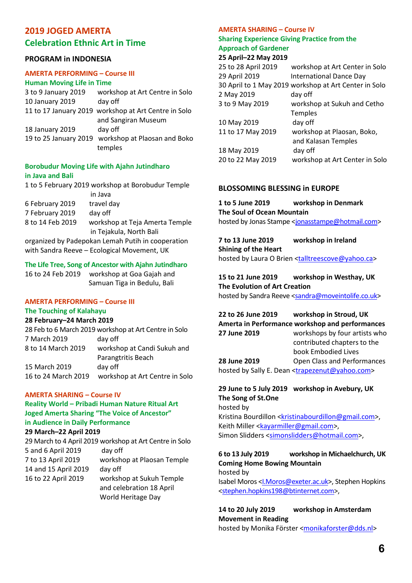# **2019 JOGED AMERTA Celebration Ethnic Art in Time**

# **PROGRAM in INDONESIA**

# **AMERTA PERFORMING – Course III**

| <b>Human Moving Life in Time</b> |                                                      |
|----------------------------------|------------------------------------------------------|
| 3 to 9 January 2019              | workshop at Art Centre in Solo                       |
| 10 January 2019                  | day off                                              |
|                                  | 11 to 17 January 2019 workshop at Art Centre in Solo |
|                                  | and Sangiran Museum                                  |
| 18 January 2019                  | day off                                              |
| 19 to 25 January 2019            | workshop at Plaosan and Boko                         |
|                                  | temples                                              |

#### **Borobudur Moving Life with Ajahn Jutindharo in Java and Bali**

|                                                   | 1 to 5 February 2019 workshop at Borobudur Temple |  |
|---------------------------------------------------|---------------------------------------------------|--|
|                                                   | in Java                                           |  |
| 6 February 2019                                   | travel day                                        |  |
| 7 February 2019                                   | day off                                           |  |
| 8 to 14 Feb 2019                                  | workshop at Teja Amerta Temple                    |  |
|                                                   | in Tejakula, North Bali                           |  |
| organized by Padepokan Lemah Putih in cooperation |                                                   |  |

with Sandra Reeve – Ecological Movement, UK

## **The Life Tree, Song of Ancestor with Ajahn Jutindharo**

16 to 24 Feb 2019 workshop at Goa Gajah and Samuan Tiga in Bedulu, Bali

# **AMERTA PERFORMING – Course III**

#### **The Touching of Kalahayu**

#### **28 February–24 March 2019**

28 Feb to 6 March 2019 workshop at Art Centre in Solo 7 March 2019 day off 8 to 14 March 2019 workshop at Candi Sukuh and Parangtritis Beach 15 March 2019 day off 16 to 24 March 2019 workshop at Art Centre in Solo

#### **AMERTA SHARING – Course IV**

# **Reality World – Pribadi Human Nature Ritual Art Joged Amerta Sharing "The Voice of Ancestor" in Audience in Daily Performance**

# **29 March–22 April 2019**

29 March to 4 April 2019 workshop at Art Centre in Solo 5 and 6 April 2019 day off 7 to 13 April 2019 workshop at Plaosan Temple 14 and 15 April 2019 day off 16 to 22 April 2019 workshop at Sukuh Temple and celebration 18 April World Heritage Day

# **AMERTA SHARING – Course IV**

#### **Sharing Experience Giving Practice from the Approach of Gardener**

#### **25 April–22 May 2019**

| 25 to 28 April 2019 | workshop at Art Center in Solo                        |
|---------------------|-------------------------------------------------------|
| 29 April 2019       | <b>International Dance Day</b>                        |
|                     | 30 April to 1 May 2019 workshop at Art Center in Solo |
| 2 May 2019          | day off                                               |
| 3 to 9 May 2019     | workshop at Sukuh and Cetho                           |
|                     | Temples                                               |
| 10 May 2019         | day off                                               |
| 11 to 17 May 2019   | workshop at Plaosan, Boko,                            |
|                     | and Kalasan Temples                                   |
| 18 May 2019         | day off                                               |
| 20 to 22 May 2019   | workshop at Art Center in Solo                        |
|                     |                                                       |

# **BLOSSOMING BLESSING in EUROPE**

# **1 to 5 June 2019 workshop in Denmark The Soul of Ocean Mountain**

hosted by Jonas Stampe <jonasstampe@hotmail.com>

**7 to 13 June 2019 workshop in Ireland Shining of the Heart**  hosted by Laura O Brien <talltreescove@yahoo.ca>

# **15 to 21 June 2019 workshop in Westhay, UK The Evolution of Art Creation**  hosted by Sandra Reeve <sandra@moveintolife.co.uk>

**22 to 26 June 2019 workshop in Stroud, UK Amerta in Performance workshop and performances 27 June 2019** workshops by four artists who contributed chapters to the book Embodied Lives **28 June 2019** Open Class and Performances hosted by Sally E. Dean <trapezenut@yahoo.com>

# **29 June to 5 July 2019 workshop in Avebury, UK The Song of St.One**

hosted by Kristina Bourdillon <kristinabourdillon@gmail.com>, Keith Miller <kayarmiller@gmail.com>, Simon Slidders <simonslidders@hotmail.com>,

# **6 to 13 July 2019 workshop in Michaelchurch, UK Coming Home Bowing Mountain**

hosted by Isabel Moros <I.Moros@exeter.ac.uk>, Stephen Hopkins <stephen.hopkins198@btinternet.com>,

# **14 to 20 July 2019 workshop in Amsterdam Movement in Reading**

hosted by Monika Förster <monikaforster@dds.nl>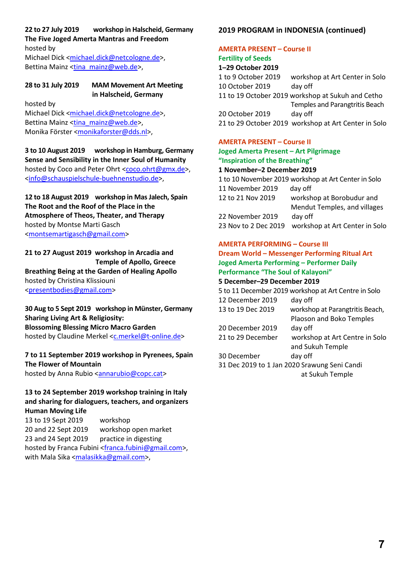#### **22 to 27 July 2019 workshop in Halscheid, Germany The Five Joged Amerta Mantras and Freedom**

hosted by Michael Dick <michael.dick@netcologne.de>,

Bettina Mainz <tina\_mainz@web.de>,

# **28 to 31 July 2019 MAM Movement Art Meeting**

hosted by

# **in Halscheid, Germany**

Michael Dick <michael.dick@netcologne.de>, Bettina Mainz <tina\_mainz@web.de>, Monika Förster <monikaforster@dds.nl>,

**3 to 10 August 2019 workshop in Hamburg, Germany Sense and Sensibility in the Inner Soul of Humanity** hosted by Coco and Peter Ohrt <coco.ohrt@gmx.de>, <info@schauspielschule-buehnenstudio.de>,

**12 to 18 August 2019 workshop in Mas Jalech, Spain The Root and the Roof of the Place in the Atmosphere of Theos, Theater, and Therapy**  hosted by Montse Marti Gasch <montsemartigasch@gmail.com>

# **21 to 27 August 2019 workshop in Arcadia and Temple of Apollo, Greece Breathing Being at the Garden of Healing Apollo**  hosted by Christina Klissiouni <presentbodies@gmail.com>

# **30 Aug to 5 Sept 2019 workshop in Münster, Germany Sharing Living Art & Religiosity: Blossoming Blessing Micro Macro Garden**  hosted by Claudine Merkel <c.merkel@t-online.de>

#### **7 to 11 September 2019 workshop in Pyrenees, Spain The Flower of Mountain**

hosted by Anna Rubio <annarubio@copc.cat>

# **13 to 24 September 2019 workshop training in Italy and sharing for dialoguers, teachers, and organizers Human Moving Life**

13 to 19 Sept 2019 workshop 20 and 22 Sept 2019 workshop open market 23 and 24 Sept 2019 practice in digesting hosted by Franca Fubini <franca.fubini@gmail.com>, with Mala Sika <malasikka@gmail.com>,

# **2019 PROGRAM in INDONESIA (continued)**

# **AMERTA PRESENT – Course II**

# **Fertility of Seeds**

**1–29 October 2019**  1 to 9 October 2019 workshop at Art Center in Solo 10 October 2019 day off 11 to 19 October 2019 workshop at Sukuh and Cetho Temples and Parangtritis Beach 20 October 2019 day off 21 to 29 October 2019 workshop at Art Center in Solo

# **AMERTA PRESENT – Course II**

# **Joged Amerta Present – Art Pilgrimage "Inspiration of the Breathing"**

# **1 November–2 December 2019**

|                      | 1 to 10 November 2019 workshop at Art Center in Solo |
|----------------------|------------------------------------------------------|
| 11 November 2019     | day off                                              |
| 12 to 21 Nov 2019    | workshop at Borobudur and                            |
|                      | Mendut Temples, and villages                         |
| 22 November 2019     | day off                                              |
| 23 Nov to 2 Dec 2019 | workshop at Art Center in Solo                       |

# **AMERTA PERFORMING – Course III**

# **Dream World – Messenger Performing Ritual Art Joged Amerta Performing – Performer Daily Performance "The Soul of Kalayoni" 5 December–29 December 2019**

5 to 11 December 2019 workshop at Art Centre in Solo 12 December 2019 day off 13 to 19 Dec 2019 workshop at Parangtritis Beach, Plaoson and Boko Temples 20 December 2019 day off 21 to 29 December workshop at Art Centre in Solo and Sukuh Temple 30 December day off

31 Dec 2019 to 1 Jan 2020 Srawung Seni Candi at Sukuh Temple